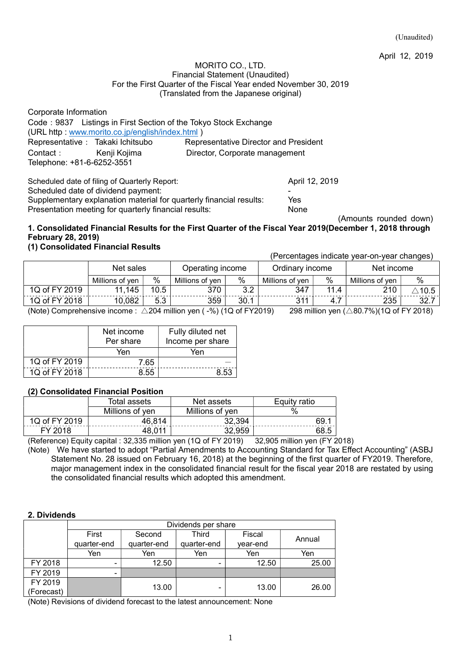April 12, 2019

#### MORITO CO., LTD. Financial Statement (Unaudited) For the First Quarter of the Fiscal Year ended November 30, 2019 (Translated from the Japanese original)

| Corporate Information             |                                                 |                                                                  |  |
|-----------------------------------|-------------------------------------------------|------------------------------------------------------------------|--|
|                                   |                                                 | Code: 9837 Listings in First Section of the Tokyo Stock Exchange |  |
|                                   | (URL http: www.morito.co.jp/english/index.html) |                                                                  |  |
| Representative : Takaki Ichitsubo |                                                 | <b>Representative Director and President</b>                     |  |
| Contact: Kenji Kojima             |                                                 | Director, Corporate management                                   |  |
| Telephone: +81-6-6252-3551        |                                                 |                                                                  |  |
|                                   |                                                 |                                                                  |  |
|                                   | Scheduled date of filing of Quarterly Report:   | April 12, 2019                                                   |  |

Scheduled date of dividend payment:

Supplementary explanation material for quarterly financial results: Yes Presentation meeting for quarterly financial results: None

(Amounts rounded down)

## 1. Consolidated Financial Results for the First Quarter of the Fiscal Year 2019(December 1, 2018 through February 28, 2019)

## (1) Consolidated Financial Results

(Percentages indicate year-on-year changes)

|               | Net sales       |      | Operating income |           | Ordinary income |          | Net income      |        |
|---------------|-----------------|------|------------------|-----------|-----------------|----------|-----------------|--------|
|               | Millions of ven | $\%$ | Millions of ven  | $\%$      | Millions of ven | $\%$     | Millions of ven | $\%$   |
| 1Q of FY 2019 | 11,145          | 10.5 | 370              | າາ<br>J.Z | 347             | 44<br>.4 | 210             | 10.5 ، |
| 1Q of FY 2018 | 10,082          | 5.3  | 359              | 30.1      | 311             | 4.7      | 235             | 32.7   |

(Note) Comprehensive income :  $\triangle 204$  million yen ( $-$ %) (1Q of FY2019) 298 million yen ( $\triangle 80.7$ %)(1Q of FY 2018)

|               | Net income<br>Per share | Fully diluted net<br>Income per share |
|---------------|-------------------------|---------------------------------------|
|               | Yen                     | Yen                                   |
| 1Q of FY 2019 | 7.65                    |                                       |
| 1Q of FY 2018 | 8.55                    | 8.53                                  |

## (2) Consolidated Financial Position

|               | Total assets    | Net assets      | Equity ratio |
|---------------|-----------------|-----------------|--------------|
|               | Millions of yen | Millions of yen | $\%$         |
| 1Q of FY 2019 | 46,814          | 32,394          | 69.          |
| FY 2018       | 48,011          | 32.959          |              |

(Reference) Equity capital : 32,335 million yen (1Q of FY 2019) 32,905 million yen (FY 2018)

(Note) We have started to adopt "Partial Amendments to Accounting Standard for Tax Effect Accounting" (ASBJ Statement No. 28 issued on February 16, 2018) at the beginning of the first quarter of FY2019. Therefore, major management index in the consolidated financial result for the fiscal year 2018 are restated by using the consolidated financial results which adopted this amendment.

#### 2. Dividends

|            |             |             | Dividends per share |          |        |
|------------|-------------|-------------|---------------------|----------|--------|
|            | First       | Second      | <b>Third</b>        | Fiscal   |        |
|            | quarter-end | quarter-end | quarter-end         | year-end | Annual |
|            | Yen         | Yen         | Yen                 | Yen      | Yen    |
| FY 2018    |             | 12.50       |                     | 12.50    | 25.00  |
| FY 2019    | -           |             |                     |          |        |
| FY 2019    |             | 13.00       |                     | 13.00    | 26.00  |
| (Forecast) |             |             |                     |          |        |

(Note) Revisions of dividend forecast to the latest announcement: None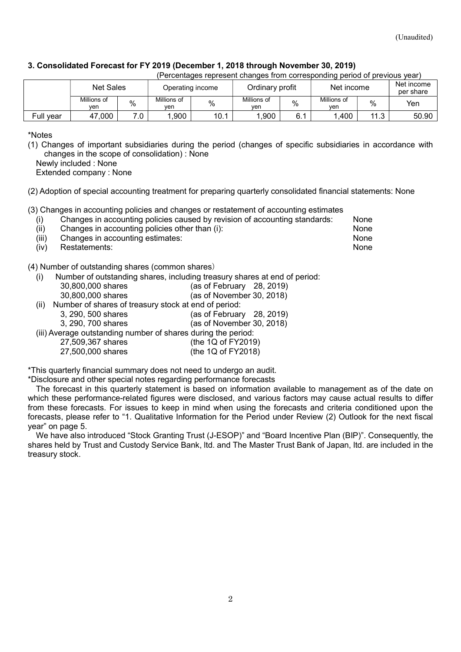## 3. Consolidated Forecast for FY 2019 (December 1, 2018 through November 30, 2019)

| (Percentages represent changes from corresponding period of previous year) |  |  |  |  |  |  |
|----------------------------------------------------------------------------|--|--|--|--|--|--|
|                                                                            |  |  |  |  |  |  |

|           | <b>Net Sales</b>   |            |                    | Operating income | Ordinary profit    |     | Net income         |             | Net income<br>per share |
|-----------|--------------------|------------|--------------------|------------------|--------------------|-----|--------------------|-------------|-------------------------|
|           | Millions of<br>ven | $\%$       | Millions of<br>ven | $\%$             | Millions of<br>ven | %   | Millions of<br>ven | %           | Yen                     |
| Full year | ,000<br>47         | ה ד<br>. ب | .900               | 10.1             | ,900               | 6.1 | ,400               | 112<br>ن. ا | 50.90                   |

\*Notes

(1) Changes of important subsidiaries during the period (changes of specific subsidiaries in accordance with changes in the scope of consolidation) : None

Newly included : None

Extended company : None

(2) Adoption of special accounting treatment for preparing quarterly consolidated financial statements: None

(3) Changes in accounting policies and changes or restatement of accounting estimates

| (i)  |                                                | Changes in accounting policies caused by revision of accounting standards: | None |
|------|------------------------------------------------|----------------------------------------------------------------------------|------|
| (ii) | Changes in accounting policies other than (i): |                                                                            | None |

- 
- (iii) Changes in accounting estimates: None (iv) Restatements: None

(4) Number of outstanding shares (common shares)

(i) Number of outstanding shares, including treasury shares at end of period:

|      | 30,800,000 shares                                    | (as of February $28, 2019$ ) |
|------|------------------------------------------------------|------------------------------|
|      | 30,800,000 shares                                    | (as of November 30, 2018)    |
| (ii) | Number of shares of treasury stock at end of period: |                              |
|      | 3, 290, 500 shares                                   | (as of February $28, 2019$ ) |
|      | 3 290 700 shares                                     | (as of November 30, 2018)    |

- 3, 290, 700 shares (as of November 30, 2018)
- (iii) Average outstanding number of shares during the period:

#### 27,509,367 shares (the 1Q of FY2019) 27,500,000 shares (the 1Q of FY2018)

\*This quarterly financial summary does not need to undergo an audit.

\*Disclosure and other special notes regarding performance forecasts

The forecast in this quarterly statement is based on information available to management as of the date on which these performance-related figures were disclosed, and various factors may cause actual results to differ from these forecasts. For issues to keep in mind when using the forecasts and criteria conditioned upon the forecasts, please refer to "1. Qualitative Information for the Period under Review (2) Outlook for the next fiscal year" on page 5.

We have also introduced "Stock Granting Trust (J-ESOP)" and "Board Incentive Plan (BIP)". Consequently, the shares held by Trust and Custody Service Bank, ltd. and The Master Trust Bank of Japan, ltd. are included in the treasury stock.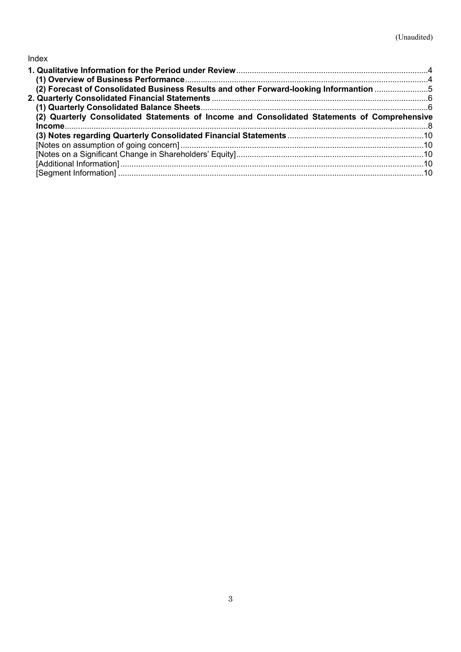## Index

| (2) Forecast of Consolidated Business Results and other Forward-looking Informantion 5       |  |
|----------------------------------------------------------------------------------------------|--|
|                                                                                              |  |
|                                                                                              |  |
| (2) Quarterly Consolidated Statements of Income and Consolidated Statements of Comprehensive |  |
|                                                                                              |  |
|                                                                                              |  |
|                                                                                              |  |
|                                                                                              |  |
|                                                                                              |  |
|                                                                                              |  |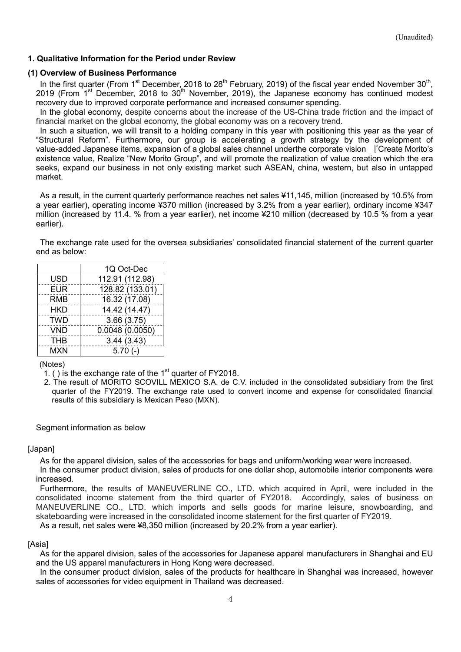## 1. Qualitative Information for the Period under Review

### (1) Overview of Business Performance

In the first quarter (From 1<sup>st</sup> December, 2018 to 28<sup>th</sup> February, 2019) of the fiscal year ended November 30<sup>th</sup>, 2019 (From 1st December, 2018 to 30th November, 2019), the Japanese economy has continued modest recovery due to improved corporate performance and increased consumer spending.

In the global economy, despite concerns about the increase of the US-China trade friction and the impact of financial market on the global economy, the global economy was on a recovery trend.

In such a situation, we will transit to a holding company in this year with positioning this year as the year of "Structural Reform". Furthermore, our group is accelerating a growth strategy by the development of value-added Japanese items, expansion of a global sales channel underthe corporate vision 『Create Morito's existence value, Realize "New Morito Group", and will promote the realization of value creation which the era seeks, expand our business in not only existing market such ASEAN, china, western, but also in untapped market.

As a result, in the current quarterly performance reaches net sales ¥11,145, million (increased by 10.5% from a year earlier), operating income ¥370 million (increased by 3.2% from a year earlier), ordinary income ¥347 million (increased by 11.4. % from a year earlier), net income ¥210 million (decreased by 10.5 % from a year earlier).

The exchange rate used for the oversea subsidiaries' consolidated financial statement of the current quarter end as below:

|            | 1Q Oct-Dec      |
|------------|-----------------|
| USD        | 112.91 (112.98) |
| <b>EUR</b> | 128.82 (133.01) |
| <b>RMB</b> | 16.32 (17.08)   |
| HKD        | 14.42 (14.47)   |
| <b>TWD</b> | 3.66(3.75)      |
| <b>VND</b> | 0.0048(0.0050)  |
| <b>THB</b> | 3.44(3.43)      |
| <b>MXN</b> | $5.70(-)$       |

(Notes)

- 1. () is the exchange rate of the  $1<sup>st</sup>$  quarter of FY2018.
- 2. The result of MORITO SCOVILL MEXICO S.A. de C.V. included in the consolidated subsidiary from the first quarter of the FY2019. The exchange rate used to convert income and expense for consolidated financial results of this subsidiary is Mexican Peso (MXN).

#### Segment information as below

#### [Japan]

As for the apparel division, sales of the accessories for bags and uniform/working wear were increased. In the consumer product division, sales of products for one dollar shop, automobile interior components were increased.

Furthermore, the results of MANEUVERLINE CO., LTD. which acquired in April, were included in the consolidated income statement from the third quarter of FY2018. Accordingly, sales of business on MANEUVERLINE CO., LTD. which imports and sells goods for marine leisure, snowboarding, and skateboarding were increased in the consolidated income statement for the first quarter of FY2019. As a result, net sales were ¥8,350 million (increased by 20.2% from a year earlier).

#### [Asia]

As for the apparel division, sales of the accessories for Japanese apparel manufacturers in Shanghai and EU and the US apparel manufacturers in Hong Kong were decreased.

In the consumer product division, sales of the products for healthcare in Shanghai was increased, however sales of accessories for video equipment in Thailand was decreased.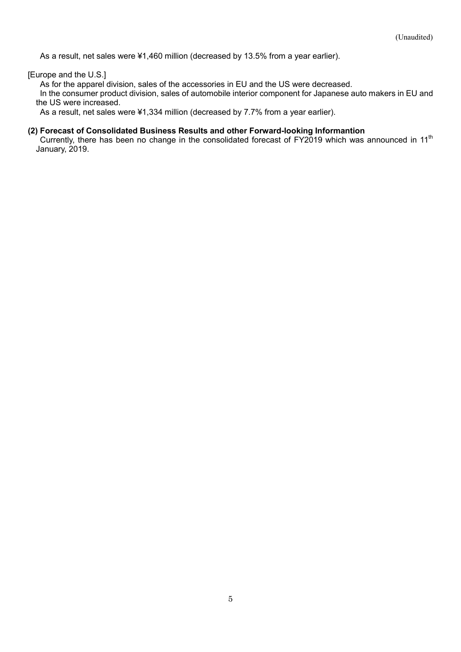As a result, net sales were ¥1,460 million (decreased by 13.5% from a year earlier).

[Europe and the U.S.]

As for the apparel division, sales of the accessories in EU and the US were decreased.

In the consumer product division, sales of automobile interior component for Japanese auto makers in EU and the US were increased.

As a result, net sales were ¥1,334 million (decreased by 7.7% from a year earlier).

### (2) Forecast of Consolidated Business Results and other Forward-looking Informantion

Currently, there has been no change in the consolidated forecast of FY2019 which was announced in 11<sup>th</sup> January, 2019.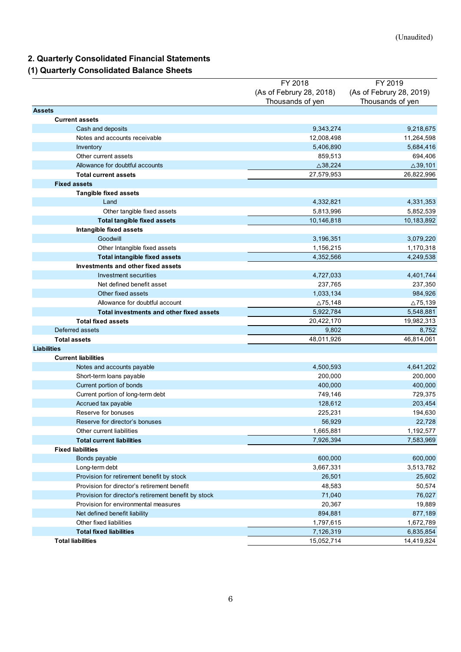# 2. Quarterly Consolidated Financial Statements

## (1) Quarterly Consolidated Balance Sheets

| 2. Quarterly Consolidated Financial Statements<br>(1) Quarterly Consolidated Balance Sheets |                                     | (Unaudited)                         |
|---------------------------------------------------------------------------------------------|-------------------------------------|-------------------------------------|
|                                                                                             |                                     |                                     |
|                                                                                             |                                     |                                     |
|                                                                                             |                                     |                                     |
|                                                                                             | FY 2018<br>(As of Februry 28, 2018) | FY 2019<br>(As of Februry 28, 2019) |
|                                                                                             | Thousands of yen                    | Thousands of yen                    |
| <b>Assets</b>                                                                               |                                     |                                     |
| <b>Current assets</b><br>Cash and deposits                                                  | 9,343,274                           | 9,218,675                           |
| Notes and accounts receivable                                                               | 12,008,498                          | 11,264,598                          |
| Inventory                                                                                   | 5,406,890                           | 5,684,416                           |
| Other current assets                                                                        | 859,513                             | 694,406                             |
| Allowance for doubtful accounts                                                             | $\triangle$ 38,224                  | $\triangle$ 39,101                  |
| <b>Total current assets</b>                                                                 | 27,579,953                          | 26,822,996                          |
| <b>Fixed assets</b><br><b>Tangible fixed assets</b>                                         |                                     |                                     |
| Land                                                                                        | 4,332,821                           | 4,331,353                           |
| Other tangible fixed assets                                                                 | 5,813,996                           | 5,852,539                           |
| <b>Total tangible fixed assets</b>                                                          | 10,146,818                          | 10,183,892                          |
| Intangible fixed assets                                                                     |                                     |                                     |
| Goodwill                                                                                    | 3,196,351                           | 3,079,220                           |
| Other Intangible fixed assets                                                               | 1,156,215                           | 1,170,318                           |
| Total intangible fixed assets<br>Investments and other fixed assets                         | 4,352,566                           | 4,249,538                           |
| Investment securities                                                                       | 4,727,033                           | 4,401,744                           |
| Net defined benefit asset                                                                   | 237,765                             | 237,350                             |
| Other fixed assets                                                                          | 1,033,134                           | 984,926                             |
| Allowance for doubtful account                                                              | $\Delta$ 75,148                     | $\triangle 75,139$                  |
| Total investments and other fixed assets                                                    | 5,922,784                           | 5,548,881                           |
| <b>Total fixed assets</b><br>Deferred assets                                                | 20,422,170<br>9,802                 | 19,982,313<br>8,752                 |
| <b>Total assets</b>                                                                         | 48,011,926                          | 46,814,061                          |
| <b>Liabilities</b>                                                                          |                                     |                                     |
| <b>Current liabilities</b>                                                                  |                                     |                                     |
| Notes and accounts payable                                                                  | 4,500,593                           | 4,641,202                           |
| Short-term loans payable                                                                    | 200,000                             | 200,000                             |
| Current portion of bonds                                                                    | 400,000                             | 400,000                             |
| Current portion of long-term debt<br>Accrued tax payable                                    | 749,146<br>128,612                  | 729,375<br>203,454                  |
| Reserve for bonuses                                                                         | 225,231                             | 194,630                             |
| Reserve for director's bonuses                                                              | 56,929                              | 22,728                              |
| Other current liabilities                                                                   | 1,665,881                           | 1,192,577                           |
| <b>Total current liabilities</b>                                                            | 7,926,394                           | 7,583,969                           |
| <b>Fixed liabilities</b>                                                                    |                                     |                                     |
| Bonds payable                                                                               | 600,000                             | 600,000                             |
| Long-term debt<br>Provision for retirement benefit by stock                                 | 3,667,331<br>26,501                 | 3,513,782<br>25,602                 |
| Provision for director's retirement benefit                                                 | 48,583                              | 50,574                              |
| Provision for director's retirement benefit by stock                                        | 71,040                              | 76,027                              |
| Provision for environmental measures                                                        | 20,367                              | 19,889                              |
| Net defined benefit liability                                                               | 894,881                             | 877,189                             |
| Other fixed liabilities                                                                     | 1,797,615                           | 1,672,789                           |
| <b>Total fixed liabilities</b><br><b>Total liabilities</b>                                  | 7,126,319<br>15,052,714             | 6,835,854                           |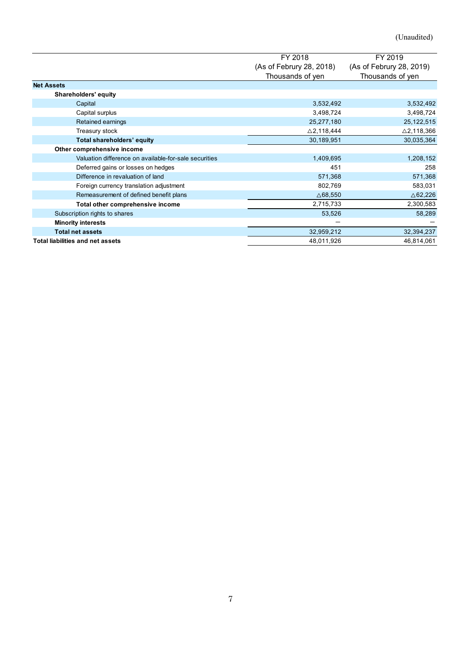|                                                       |                          | (Unaudited)              |
|-------------------------------------------------------|--------------------------|--------------------------|
|                                                       |                          |                          |
|                                                       | FY 2018                  | FY 2019                  |
|                                                       | (As of Februry 28, 2018) | (As of Februry 28, 2019) |
| <b>Net Assets</b>                                     | Thousands of yen         | Thousands of yen         |
| Shareholders' equity                                  |                          |                          |
| Capital                                               | 3,532,492                | 3,532,492                |
| Capital surplus                                       | 3,498,724                | 3,498,724                |
| Retained earnings                                     | 25,277,180               | 25, 122, 515             |
| Treasury stock                                        | $\triangle$ 2,118,444    | $\triangle$ 2,118,366    |
| Total shareholders' equity                            | 30,189,951               | 30,035,364               |
| Other comprehensive income                            |                          |                          |
| Valuation difference on available-for-sale securities | 1,409,695                | 1,208,152                |
| Deferred gains or losses on hedges                    | 451                      | 258                      |
| Difference in revaluation of land                     | 571,368                  | 571,368                  |
| Foreign currency translation adjustment               | 802,769                  | 583,031                  |
|                                                       | $\triangle 68,550$       | $\triangle$ 62,226       |
| Remeasurement of defined benefit plans                |                          | 2,300,583                |
| Total other comprehensive income                      | 2,715,733                |                          |
| Subscription rights to shares                         | 53,526                   | 58,289                   |
| <b>Minority interests</b>                             | $\overline{\phantom{m}}$ | $\overline{\phantom{m}}$ |
| <b>Total net assets</b>                               | 32,959,212               | 32,394,237<br>46,814,061 |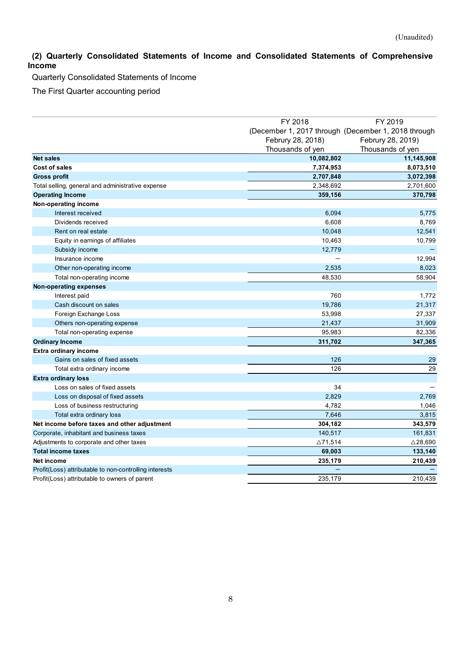## (2) Quarterly Consolidated Statements of Income and Consolidated Statements of Comprehensive Income

|                  | (2) Quarterly Consolidated Statements of Income and Consolidated Statements of Comprehensive |                                                                                                         | (Unaudited)                                      |
|------------------|----------------------------------------------------------------------------------------------|---------------------------------------------------------------------------------------------------------|--------------------------------------------------|
| ncome            | Quarterly Consolidated Statements of Income                                                  |                                                                                                         |                                                  |
|                  | The First Quarter accounting period                                                          |                                                                                                         |                                                  |
|                  |                                                                                              |                                                                                                         |                                                  |
|                  |                                                                                              |                                                                                                         |                                                  |
|                  |                                                                                              | FY 2018<br>(December 1, 2017 through (December 1, 2018 through<br>Februry 28, 2018)<br>Thousands of yen | FY 2019<br>Februry 28, 2019)<br>Thousands of yen |
| <b>Net sales</b> |                                                                                              | 10,082,802                                                                                              | 11,145,908                                       |
|                  | Cost of sales                                                                                | 7,374,953                                                                                               | 8,073,510                                        |
|                  | <b>Gross profit</b>                                                                          | 2,707,848                                                                                               | 3,072,398                                        |
|                  | Total selling, general and administrative expense                                            | 2,348,692                                                                                               | 2,701,600                                        |
|                  | <b>Operating Income</b>                                                                      | 359,156                                                                                                 | 370,798                                          |
|                  | Non-operating income                                                                         |                                                                                                         |                                                  |
|                  | Interest received                                                                            | 6,094                                                                                                   | 5,775                                            |
|                  | Dividends received                                                                           | 6,608                                                                                                   | 8,769                                            |
|                  | Rent on real estate                                                                          | 10,048                                                                                                  | 12,541                                           |
|                  | Equity in earnings of affiliates<br>Subsidy income                                           | 10,463<br>12,779                                                                                        | 10,799                                           |
|                  | Insurance income                                                                             | $\overline{\phantom{0}}$                                                                                | 12,994                                           |
|                  | Other non-operating income                                                                   | 2,535                                                                                                   | 8,023                                            |
|                  | Total non-operating income                                                                   | 48,530                                                                                                  | 58,904                                           |
|                  | <b>Non-operating expenses</b>                                                                |                                                                                                         |                                                  |
|                  | Interest paid                                                                                | 760                                                                                                     | 1,772                                            |
|                  | Cash discount on sales                                                                       | 19,786                                                                                                  | 21,317                                           |
|                  | Foreign Exchange Loss                                                                        | 53,998                                                                                                  | 27,337                                           |
|                  | Others non-operating expense                                                                 | 21,437                                                                                                  | 31,909                                           |
|                  | Total non-operating expense                                                                  | 95,983                                                                                                  | 82,336                                           |
|                  | <b>Ordinary Income</b>                                                                       | 311,702                                                                                                 | 347,365                                          |
|                  | <b>Extra ordinary income</b><br>Gains on sales of fixed assets                               | 126                                                                                                     | 29                                               |
|                  | Total extra ordinary income                                                                  | 126                                                                                                     | 29                                               |
|                  | <b>Extra ordinary loss</b>                                                                   |                                                                                                         |                                                  |
|                  | Loss on sales of fixed assets                                                                | 34                                                                                                      |                                                  |
|                  | Loss on disposal of fixed assets                                                             | 2,829                                                                                                   | 2,769                                            |
|                  | Loss of business restructuring                                                               | 4,782                                                                                                   | 1,046                                            |
|                  | Total extra ordinary loss                                                                    | 7,646                                                                                                   | 3,815                                            |
|                  | Net income before taxes and other adjustment                                                 | 304,182                                                                                                 | 343,579                                          |
|                  | Corporate, inhabitant and business taxes                                                     | 140,517                                                                                                 | 161,831                                          |
|                  | Adjustments to corporate and other taxes                                                     | $\Delta$ 71,514                                                                                         | $\triangle 28,690$                               |
|                  | <b>Total income taxes</b>                                                                    | 69,003                                                                                                  | 133,140                                          |
|                  | Net income                                                                                   | 235,179                                                                                                 | 210,439                                          |
|                  | Profit(Loss) attributable to non-controlling interests                                       | $\overline{\phantom{m}}$                                                                                |                                                  |
|                  | Profit(Loss) attributable to owners of parent                                                | 235,179                                                                                                 | 210,439                                          |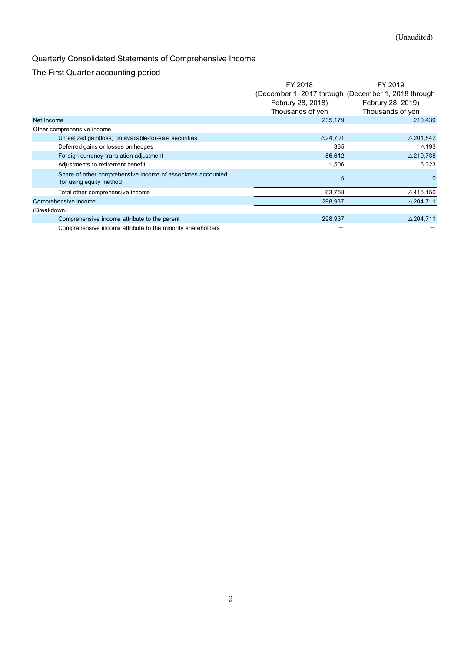# Quarterly Consolidated Statements of Comprehensive Income

## The First Quarter accounting period

|                                                                                        |                                                     | (Unaudited)         |
|----------------------------------------------------------------------------------------|-----------------------------------------------------|---------------------|
|                                                                                        |                                                     |                     |
|                                                                                        |                                                     |                     |
| Quarterly Consolidated Statements of Comprehensive Income                              |                                                     |                     |
| The First Quarter accounting period                                                    |                                                     |                     |
|                                                                                        | FY 2018                                             | FY 2019             |
|                                                                                        | (December 1, 2017 through (December 1, 2018 through |                     |
|                                                                                        | Februry 28, 2018)                                   | Februry 28, 2019)   |
|                                                                                        | Thousands of yen                                    | Thousands of yen    |
| Net Income                                                                             | 235,179                                             | 210,439             |
| Other comprehensive income                                                             |                                                     |                     |
| Unrealized gain(loss) on available-for-sale securities                                 | $\triangle$ 24,701                                  | $\triangle$ 201,542 |
| Deferred gains or losses on hedges                                                     | 335                                                 | $\triangle$ 193     |
| Foreign currency translation adjustment                                                | 86,612                                              | $\triangle$ 219,738 |
| Adjustments to retirement benefit                                                      | 1,506                                               | 6,323               |
| Share of other comprehensive income of associates accounted<br>for using equity method | $5\phantom{1}$                                      | $\mathbf{0}$        |
|                                                                                        | 63,758                                              | $\triangle$ 415,150 |
| Total other comprehensive income                                                       |                                                     | $\triangle$ 204,711 |
| Comprehensive income                                                                   | 298,937                                             |                     |
| (Breakdown)                                                                            |                                                     |                     |
| Comprehensive income attribute to the parent                                           | 298,937                                             | $\triangle$ 204,711 |